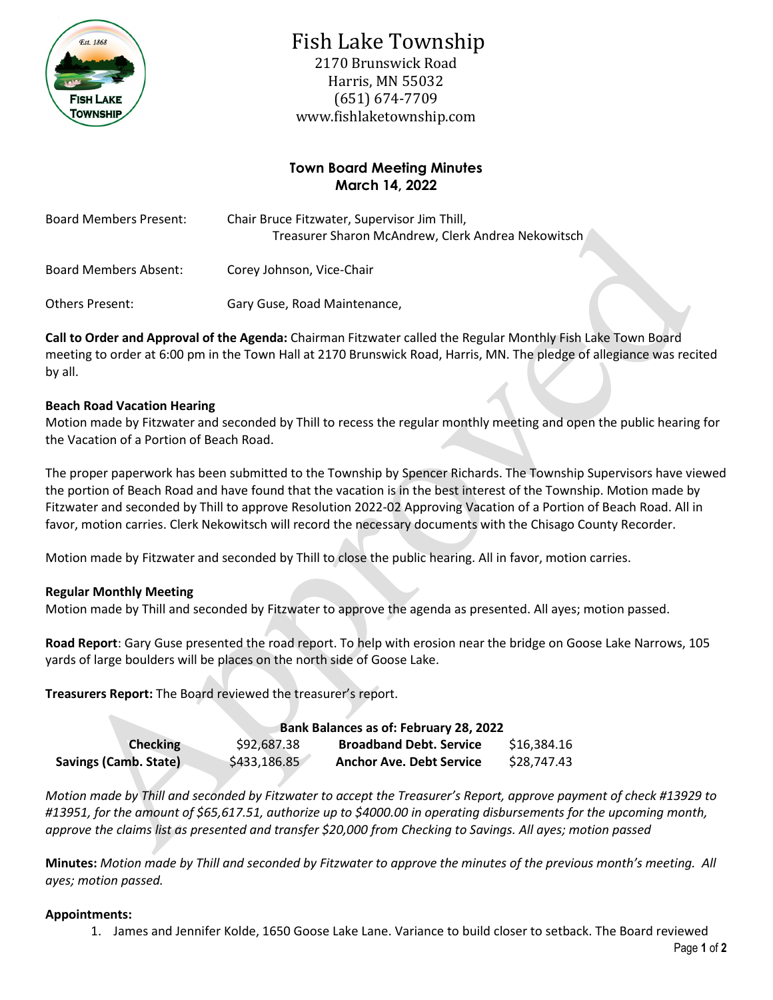

# Fish Lake Township

2170 Brunswick Road Harris, MN 55032 (651) 674-7709 www.fishlaketownship.com

## **Town Board Meeting Minutes March 14, 2022**

| <b>Board Members Present:</b> | Chair Bruce Fitzwater, Supervisor Jim Thill,<br>Treasurer Sharon McAndrew, Clerk Andrea Nekowitsch |  |  |
|-------------------------------|----------------------------------------------------------------------------------------------------|--|--|
| Board Members Absent:         | Corey Johnson, Vice-Chair                                                                          |  |  |
| Others Present:               | Gary Guse, Road Maintenance,                                                                       |  |  |

**Call to Order and Approval of the Agenda:** Chairman Fitzwater called the Regular Monthly Fish Lake Town Board meeting to order at 6:00 pm in the Town Hall at 2170 Brunswick Road, Harris, MN. The pledge of allegiance was recited by all.

## **Beach Road Vacation Hearing**

Motion made by Fitzwater and seconded by Thill to recess the regular monthly meeting and open the public hearing for the Vacation of a Portion of Beach Road.

The proper paperwork has been submitted to the Township by Spencer Richards. The Township Supervisors have viewed the portion of Beach Road and have found that the vacation is in the best interest of the Township. Motion made by Fitzwater and seconded by Thill to approve Resolution 2022-02 Approving Vacation of a Portion of Beach Road. All in favor, motion carries. Clerk Nekowitsch will record the necessary documents with the Chisago County Recorder.

Motion made by Fitzwater and seconded by Thill to close the public hearing. All in favor, motion carries.

## **Regular Monthly Meeting**

Motion made by Thill and seconded by Fitzwater to approve the agenda as presented. All ayes; motion passed.

**Road Report**: Gary Guse presented the road report. To help with erosion near the bridge on Goose Lake Narrows, 105 yards of large boulders will be places on the north side of Goose Lake.

**Treasurers Report:** The Board reviewed the treasurer's report.

|                       | <b>Bank Balances as of: February 28, 2022</b> |                                 |             |  |
|-----------------------|-----------------------------------------------|---------------------------------|-------------|--|
| <b>Checking</b>       | \$92,687.38                                   | <b>Broadband Debt. Service</b>  | \$16,384.16 |  |
| Savings (Camb. State) | \$433,186.85                                  | <b>Anchor Ave. Debt Service</b> | \$28,747.43 |  |

*Motion made by Thill and seconded by Fitzwater to accept the Treasurer's Report, approve payment of check #13929 to #13951, for the amount of \$65,617.51, authorize up to \$4000.00 in operating disbursements for the upcoming month, approve the claims list as presented and transfer \$20,000 from Checking to Savings. All ayes; motion passed*

**Minutes:** *Motion made by Thill and seconded by Fitzwater to approve the minutes of the previous month's meeting. All ayes; motion passed.*

## **Appointments:**

1. James and Jennifer Kolde, 1650 Goose Lake Lane. Variance to build closer to setback. The Board reviewed